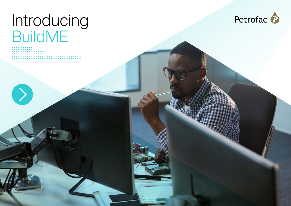# Introducing BuildME

 $\sum_{i=1}^{n}$ 

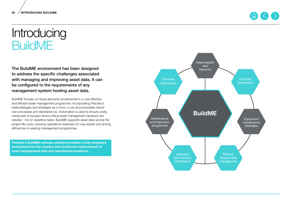

# **Introducing BuildME**

The BuildME environment has been designed to address the specific challenges associated with managing and improving asset data. It can be configured to the requirements of any management system hosting asset data.

BuildME focuses on those elements fundamental to a cost effective and efficient asset management programme. Incorporating Petrofac's methodologies and strategies as a norm, it can accommodate clients' own processes and standards too. Automation is used to ensure costly manpower is focused where critical asset management decisions are needed - not on repetitive tasks. BuildME supports asset data across the project life cycle; ensuring operations readiness for new assets and driving efficiencies in existing management programmes.

Petrofac's BuildME software platform provides a fully integrated environment for the creation and continuous improvement of asset management data and operational excellence.

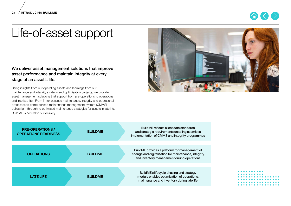

# Life-of-asset support

We deliver asset management solutions that improve asset performance and maintain integrity at every stage of an asset's life.

Using insights from our operating assets and learnings from our maintenance and integrity strategy and optimisation projects, we provide asset management solutions that support from pre-operations to operations and into late life. From fit-for-purpose maintenance, integrity and operational processes to computerised maintenance management system (CMMS) builds right through to optimised maintenance strategies for assets in late life, BuildME is central to our delivery.



| <b>PRE-OPERATIONS /</b><br><b>OPERATIONS READINESS</b> | <b>BUILDME</b> | BuildME reflects client data standards<br>and strategic requirements enabling seamless<br>implementation of CMMS and integrity programmes           |
|--------------------------------------------------------|----------------|-----------------------------------------------------------------------------------------------------------------------------------------------------|
| <b>OPERATIONS</b>                                      | <b>BUILDME</b> | BuildME provides a platform for management of<br>change and digitalisation for maintenance, integrity<br>and inventory management during operations |
| <b>LATE LIFE</b>                                       | <b>BUILDME</b> | BuildME's lifecycle phasing and strategy<br>module enables optimisation of operations,<br>maintenance and inventory during late life                |

|   | . |  |  |  |  |  |  |  |
|---|---|--|--|--|--|--|--|--|
|   | . |  |  |  |  |  |  |  |
|   | . |  |  |  |  |  |  |  |
|   | . |  |  |  |  |  |  |  |
|   | . |  |  |  |  |  |  |  |
| . |   |  |  |  |  |  |  |  |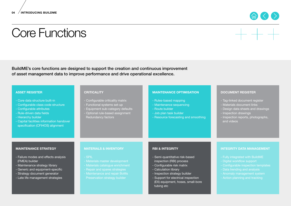# Core Functions



BuildME's core functions are designed to support the creation and continuous improvement of asset management data to improve performance and drive operational excellence.

#### ASSET REGISTER

- Core data structure built-in
- Configurable class code structure
- Configurable attributes
- Rule-driven data fields
- Hierarchy builder
- Capital facilities information handover specification (CFIHOS) alignment

#### **CRITICALITY**

- Configurable criticality matrix
- Functional systems set-up
- Equipment sub-category defaults
- Optional rule-based assignment Redundancy factors

#### MAINTENANCE OPTIMISATION

- Rules-based mapping
- Maintenance sequencing
- Route builder
- Job plan task builder
- Resource forecasting and smoothing

#### DOCUMENT REGISTER

- Tag-linked document register
- Materials document links
- Design data sheets and drawings
- Inspection drawings
- Inspection reports, photographs, and videos

### MAINTENANCE STRATEGY

- Failure modes and effects analysis (FMEA) builder
- Maintenance strategy library
- Generic and equipment-specific
- Strategy document generator
- Late life management strategies

### MATERIALS & INVENTORY

- SPIL
- Materials master development
- 
- Repair and spares strategies
- Maintenance and repair BoMs

### RBI & INTEGRITY

- Semi-quantitative risk-based inspection (RBI) process
- Configurable risk matrix
- Calculation library
- Inspection strategy builder
- Support for electrical inspection (EX) equipment, hoses, small-bore tubing etc

### INTEGRITY DATA MANAGEMENT

- Fully integrated with BuildME
- Digital workflow support
- 
- 
- 
-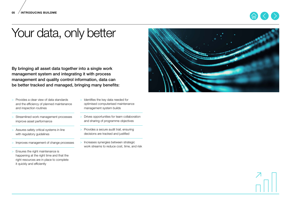

### Your data, only better

By bringing all asset data together into a single work management system and integrating it with process management and quality control information, data can be better tracked and managed, bringing many benefits:

- > Provides a clear view of data standards and the efficiency of planned maintenance and inspection routines
- > Streamlined work management processes improve asset performance
- > Assures safety critical systems in line with regulatory guidelines
- > Improves management of change processes
- > Ensures the right maintenance is happening at the right time and that the right resources are in place to complete it quickly and efficiently
- > Identifies the key data needed for optimised computerised maintenance management system builds
- > Drives opportunities for team collaboration and sharing of programme objectives
- > Provides a secure audit trail, ensuring decisions are tracked and justified
- > Increases synergies between strategic work streams to reduce cost, time, and risk



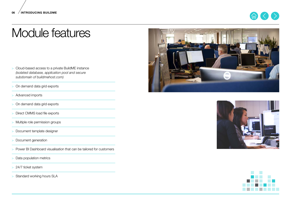

# Module features

- > Cloud-based access to a private BuildME instance *(isolated database, application pool and secure subdomain of buildmehost.com)*
- > On demand data grid exports
- > Advanced imports
- > On demand data grid exports
- > Direct CMMS load file exports
- > Multiple role permission groups
- > Document template designer
- > Document generation
- > Power BI Dashboard visualisation that can be tailored for customers
- > Data population metrics
- > 24/7 ticket system
- > Standard working hours SLA